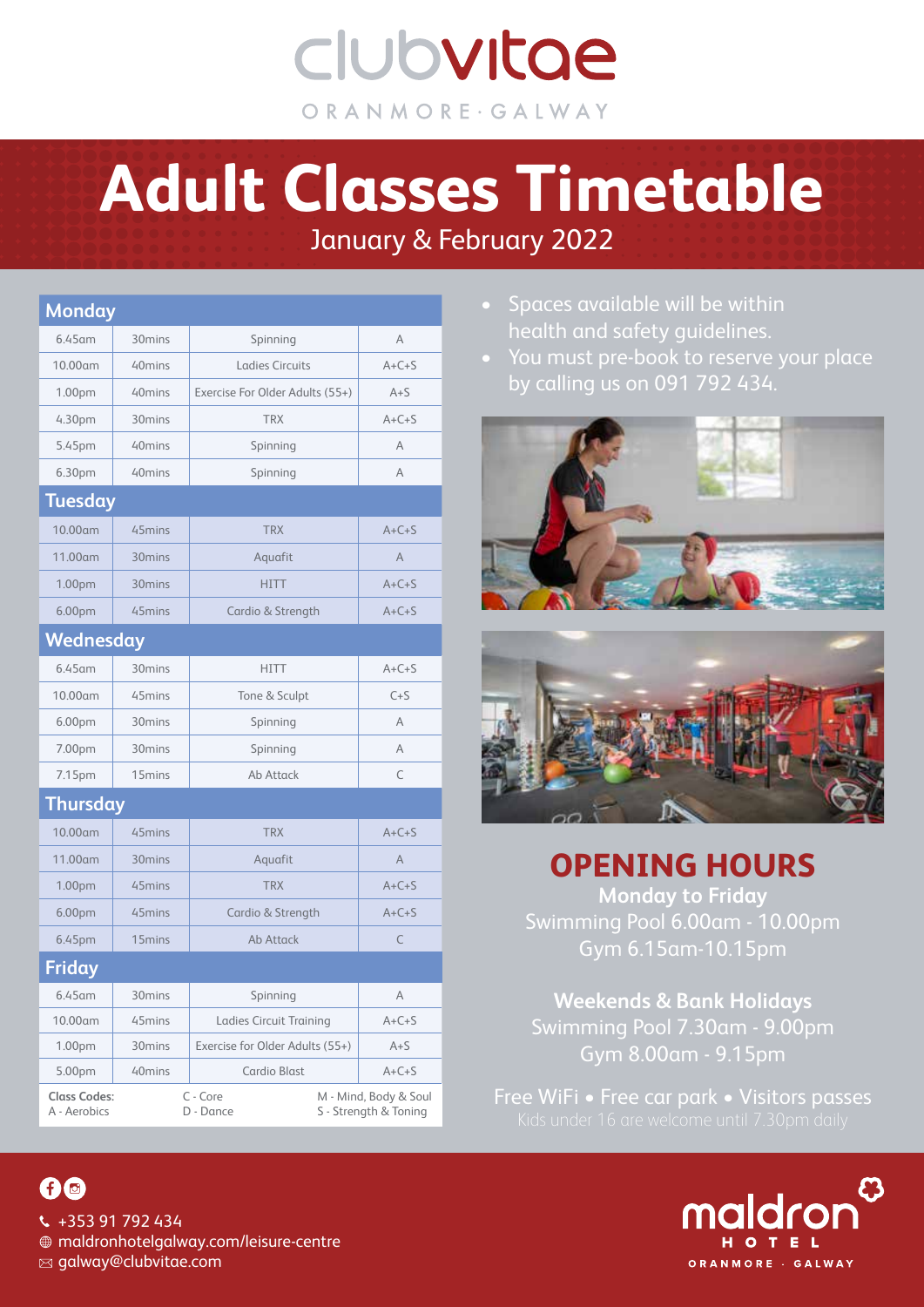clubvitae ORANMORE · GALWAY

# January & February 2022 **Adult Classes Timetable**

| <b>Monday</b>                       |                    |                                 |                                                |
|-------------------------------------|--------------------|---------------------------------|------------------------------------------------|
| 6.45 am                             | 30 <sub>mins</sub> | Spinning                        | A                                              |
| 10.00am                             | 40 <sub>mins</sub> | <b>Ladies Circuits</b>          | $A+C+S$                                        |
| 1.00pm                              | 40 <sub>mins</sub> | Exercise For Older Adults (55+) | $A + S$                                        |
| 4.30pm                              | 30 <sub>mins</sub> | <b>TRX</b>                      | $A+C+S$                                        |
| 5.45pm                              | 40 <sub>mins</sub> | Spinning                        | A                                              |
| 6.30pm                              | 40 <sub>mins</sub> | Spinning                        | Α                                              |
| <b>Tuesday</b>                      |                    |                                 |                                                |
| 10.00am                             | 45mins             | <b>TRX</b>                      | $A+C+S$                                        |
| 11.00am                             | 30mins             | Aquafit                         | A                                              |
| 1.00pm                              | 30 <sub>mins</sub> | <b>HITT</b>                     | $A+C+S$                                        |
| 6.00pm                              | 45 <sub>mins</sub> | Cardio & Strength               | $A+C+S$                                        |
| Wednesday                           |                    |                                 |                                                |
| $6.45$ am                           | 30 <sub>mins</sub> | <b>HITT</b>                     | $A+C+S$                                        |
| 10.00am                             | 45 <sub>mins</sub> | Tone & Sculpt                   | $C + S$                                        |
| 6.00pm                              | 30 <sub>mins</sub> | Spinning                        | A                                              |
| 7.00pm                              | 30 <sub>mins</sub> | Spinning                        | A                                              |
| 7.15pm                              | 15mins             | Ab Attack                       | C                                              |
| <b>Thursday</b>                     |                    |                                 |                                                |
| 10.00am                             | 45 <sub>mins</sub> | <b>TRX</b>                      | $A+C+S$                                        |
| 11.00am                             | 30 <sub>mins</sub> | Aquafit                         | A                                              |
| 1.00pm                              | 45 <sub>mins</sub> | <b>TRX</b>                      | $A+C+S$                                        |
| 6.00pm                              | 45mins             | Cardio & Strength               | $A+C+S$                                        |
| 6.45pm                              | 15 <sub>mins</sub> | Ab Attack                       | C                                              |
| <b>Friday</b>                       |                    |                                 |                                                |
| $6.45$ am                           | 30 <sub>mins</sub> | Spinning                        | Α                                              |
| $10.00$ am                          | 45 <sub>mins</sub> | Ladies Circuit Training         | $A + C + S$                                    |
| 1.00 <sub>pm</sub>                  | 30 <sub>mins</sub> | Exercise for Older Adults (55+) | $A + S$                                        |
| 5.00pm                              | 40mins             | Cardio Blast                    | $A+C+S$                                        |
| <b>Class Codes:</b><br>A - Aerobics |                    | C - Core<br>D - Dance           | M - Mind, Body & Soul<br>S - Strength & Toning |

- Spaces available will be within health and safety guidelines.
- You must pre-book to reserve your place by calling us on 091 792 434.





**OPENING HOURS**

**Monday to Friday**  Swimming Pool 6.00am - 10.00pm Gym 6.15am-10.15pm

**Weekends & Bank Holidays**  Swimming Pool 7.30am - 9.00pm Gym 8.00am - 9.15pm

Free WiFi • Free car park • Visitors passes



### 00

 $\sqrt{435391792434}$  maldronhotelgalway.com/leisure-centre  $\boxtimes$  galway@clubvitae.com